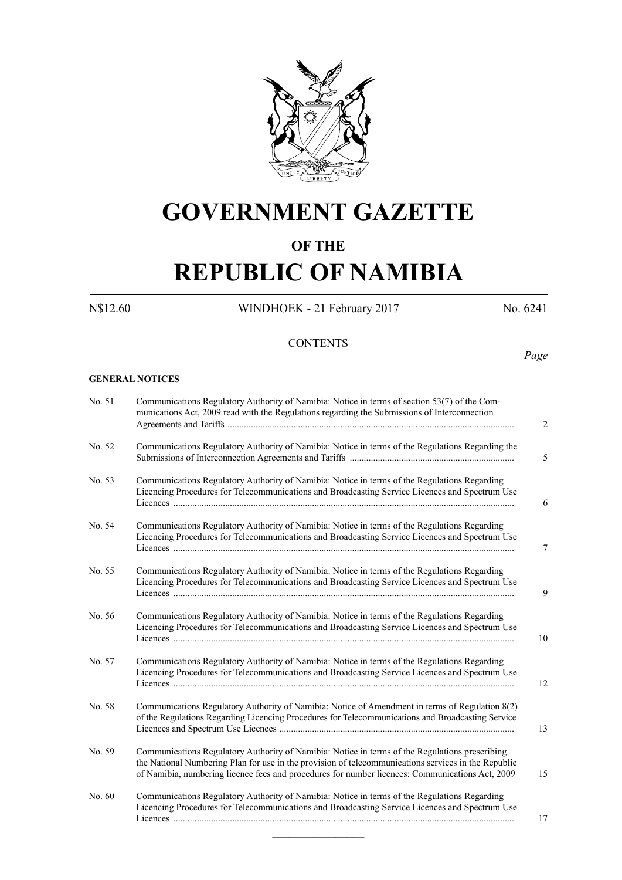

# **GOVERNMENT GAZETTE**

# **OF THE**

# **REPUBLIC OF NAMIBIA**

N\$12.60 WINDHOEK - 21 February 2017 No. 6241

*Page*

# **CONTENTS**

#### **GENERAL NOTICES**

| No. 51 | Communications Regulatory Authority of Namibia: Notice in terms of section 53(7) of the Com-<br>munications Act, 2009 read with the Regulations regarding the Submissions of Interconnection<br>2                                                                                                              |
|--------|----------------------------------------------------------------------------------------------------------------------------------------------------------------------------------------------------------------------------------------------------------------------------------------------------------------|
| No. 52 | Communications Regulatory Authority of Namibia: Notice in terms of the Regulations Regarding the<br>5                                                                                                                                                                                                          |
| No. 53 | Communications Regulatory Authority of Namibia: Notice in terms of the Regulations Regarding<br>Licencing Procedures for Telecommunications and Broadcasting Service Licences and Spectrum Use<br>6                                                                                                            |
| No. 54 | Communications Regulatory Authority of Namibia: Notice in terms of the Regulations Regarding<br>Licencing Procedures for Telecommunications and Broadcasting Service Licences and Spectrum Use<br>7                                                                                                            |
| No. 55 | Communications Regulatory Authority of Namibia: Notice in terms of the Regulations Regarding<br>Licencing Procedures for Telecommunications and Broadcasting Service Licences and Spectrum Use<br>9                                                                                                            |
| No. 56 | Communications Regulatory Authority of Namibia: Notice in terms of the Regulations Regarding<br>Licencing Procedures for Telecommunications and Broadcasting Service Licences and Spectrum Use<br>10                                                                                                           |
| No. 57 | Communications Regulatory Authority of Namibia: Notice in terms of the Regulations Regarding<br>Licencing Procedures for Telecommunications and Broadcasting Service Licences and Spectrum Use<br>12                                                                                                           |
| No. 58 | Communications Regulatory Authority of Namibia: Notice of Amendment in terms of Regulation 8(2)<br>of the Regulations Regarding Licencing Procedures for Telecommunications and Broadcasting Service<br>13                                                                                                     |
| No. 59 | Communications Regulatory Authority of Namibia: Notice in terms of the Regulations prescribing<br>the National Numbering Plan for use in the provision of telecommunications services in the Republic<br>of Namibia, numbering licence fees and procedures for number licences: Communications Act, 2009<br>15 |
| No. 60 | Communications Regulatory Authority of Namibia: Notice in terms of the Regulations Regarding<br>Licencing Procedures for Telecommunications and Broadcasting Service Licences and Spectrum Use<br>17                                                                                                           |

 $\frac{1}{2}$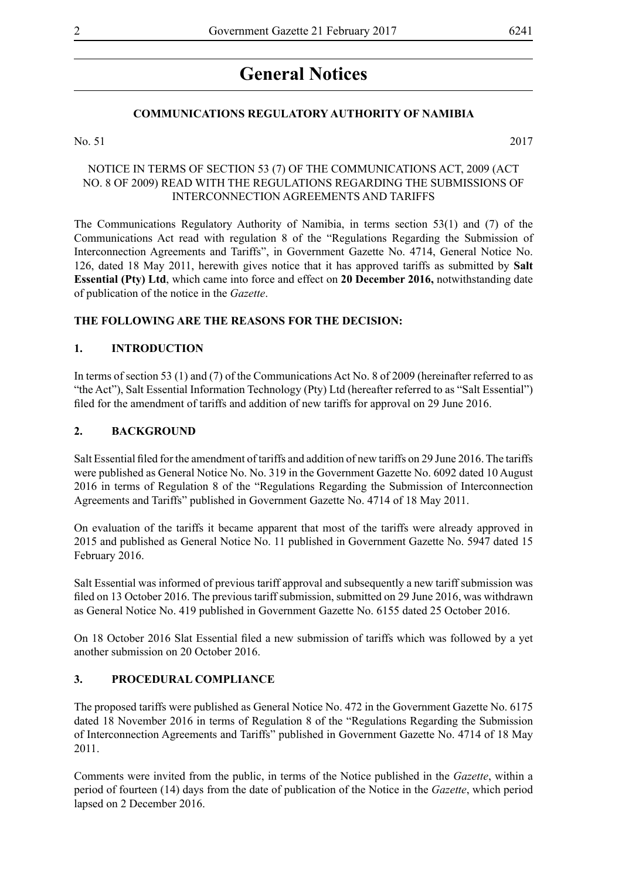# **General Notices**

# **COMMUNICATIONS REGULATORY AUTHORITY OF NAMIBIA**

No. 51 2017

### NOTICE IN TERMS OF SECTION 53 (7) OF THE COMMUNICATIONS ACT, 2009 (ACT NO. 8 OF 2009) READ WITH THE REGULATIONS REGARDING THE SUBMISSIONS OF INTERCONNECTION AGREEMENTS AND TARIFFS

The Communications Regulatory Authority of Namibia, in terms section 53(1) and (7) of the Communications Act read with regulation 8 of the "Regulations Regarding the Submission of Interconnection Agreements and Tariffs", in Government Gazette No. 4714, General Notice No. 126, dated 18 May 2011, herewith gives notice that it has approved tariffs as submitted by **Salt Essential (Pty) Ltd**, which came into force and effect on **20 December 2016,** notwithstanding date of publication of the notice in the *Gazette*.

# **THE FOLLOWING ARE THE REASONS FOR THE DECISION:**

#### **1. INTRODUCTION**

In terms of section 53 (1) and (7) of the Communications Act No. 8 of 2009 (hereinafter referred to as "the Act"), Salt Essential Information Technology (Pty) Ltd (hereafter referred to as "Salt Essential") filed for the amendment of tariffs and addition of new tariffs for approval on 29 June 2016.

#### **2. BACKGROUND**

Salt Essential filed for the amendment of tariffs and addition of new tariffs on 29 June 2016. The tariffs were published as General Notice No. No. 319 in the Government Gazette No. 6092 dated 10 August 2016 in terms of Regulation 8 of the "Regulations Regarding the Submission of Interconnection Agreements and Tariffs" published in Government Gazette No. 4714 of 18 May 2011.

On evaluation of the tariffs it became apparent that most of the tariffs were already approved in 2015 and published as General Notice No. 11 published in Government Gazette No. 5947 dated 15 February 2016.

Salt Essential was informed of previous tariff approval and subsequently a new tariff submission was filed on 13 October 2016. The previous tariff submission, submitted on 29 June 2016, was withdrawn as General Notice No. 419 published in Government Gazette No. 6155 dated 25 October 2016.

On 18 October 2016 Slat Essential filed a new submission of tariffs which was followed by a yet another submission on 20 October 2016.

#### **3. PROCEDURAL COMPLIANCE**

The proposed tariffs were published as General Notice No. 472 in the Government Gazette No. 6175 dated 18 November 2016 in terms of Regulation 8 of the "Regulations Regarding the Submission of Interconnection Agreements and Tariffs" published in Government Gazette No. 4714 of 18 May 2011.

Comments were invited from the public, in terms of the Notice published in the *Gazette*, within a period of fourteen (14) days from the date of publication of the Notice in the *Gazette*, which period lapsed on 2 December 2016.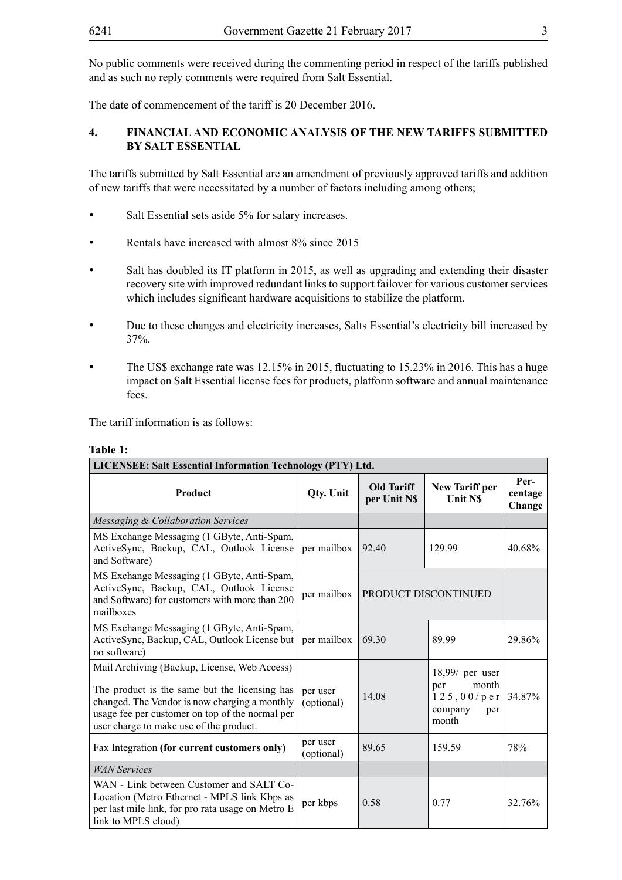The date of commencement of the tariff is 20 December 2016.

# **4. FINANCIAL AND ECONOMIC ANALYSIS OF THE NEW TARIFFS SUBMITTED BY SALT ESSENTIAL**

The tariffs submitted by Salt Essential are an amendment of previously approved tariffs and addition of new tariffs that were necessitated by a number of factors including among others;

- Salt Essential sets aside 5% for salary increases.
- Rentals have increased with almost 8% since 2015
- Salt has doubled its IT platform in 2015, as well as upgrading and extending their disaster recovery site with improved redundant links to support failover for various customer services which includes significant hardware acquisitions to stabilize the platform.
- Due to these changes and electricity increases, Salts Essential's electricity bill increased by 37%.
- The US\$ exchange rate was 12.15% in 2015, fluctuating to 15.23% in 2016. This has a huge impact on Salt Essential license fees for products, platform software and annual maintenance fees.

The tariff information is as follows:

| LICENSEE: Salt Essential Information Technology (PTY) Ltd.                                                                                                                                                                                   |                        |                                   |                                                                            |                           |  |  |  |
|----------------------------------------------------------------------------------------------------------------------------------------------------------------------------------------------------------------------------------------------|------------------------|-----------------------------------|----------------------------------------------------------------------------|---------------------------|--|--|--|
| Product                                                                                                                                                                                                                                      | <b>Qty. Unit</b>       | <b>Old Tariff</b><br>per Unit N\$ | <b>New Tariff per</b><br><b>Unit NS</b>                                    | Per-<br>centage<br>Change |  |  |  |
| Messaging & Collaboration Services                                                                                                                                                                                                           |                        |                                   |                                                                            |                           |  |  |  |
| MS Exchange Messaging (1 GByte, Anti-Spam,<br>ActiveSync, Backup, CAL, Outlook License<br>and Software)                                                                                                                                      | per mailbox            | 92.40                             | 129.99                                                                     | 40.68%                    |  |  |  |
| MS Exchange Messaging (1 GByte, Anti-Spam,<br>ActiveSync, Backup, CAL, Outlook License<br>and Software) for customers with more than 200<br>mailboxes                                                                                        | per mailbox            | PRODUCT DISCONTINUED              |                                                                            |                           |  |  |  |
| MS Exchange Messaging (1 GByte, Anti-Spam,<br>ActiveSync, Backup, CAL, Outlook License but<br>no software)                                                                                                                                   | per mailbox            | 69.30                             | 89.99                                                                      | 29.86%                    |  |  |  |
| Mail Archiving (Backup, License, Web Access)<br>The product is the same but the licensing has<br>changed. The Vendor is now charging a monthly<br>usage fee per customer on top of the normal per<br>user charge to make use of the product. | per user<br>(optional) | 14.08                             | $18,99/$ per user<br>month<br>per<br>125,00/per<br>company<br>per<br>month | 34.87%                    |  |  |  |
| Fax Integration (for current customers only)                                                                                                                                                                                                 | per user<br>(optional) | 89.65                             | 159.59                                                                     | 78%                       |  |  |  |
| <b>WAN Services</b>                                                                                                                                                                                                                          |                        |                                   |                                                                            |                           |  |  |  |
| WAN - Link between Customer and SALT Co-<br>Location (Metro Ethernet - MPLS link Kbps as<br>per last mile link, for pro rata usage on Metro E<br>link to MPLS cloud)                                                                         | per kbps               | 0.58                              | 0.77                                                                       | 32.76%                    |  |  |  |

# **Table 1:**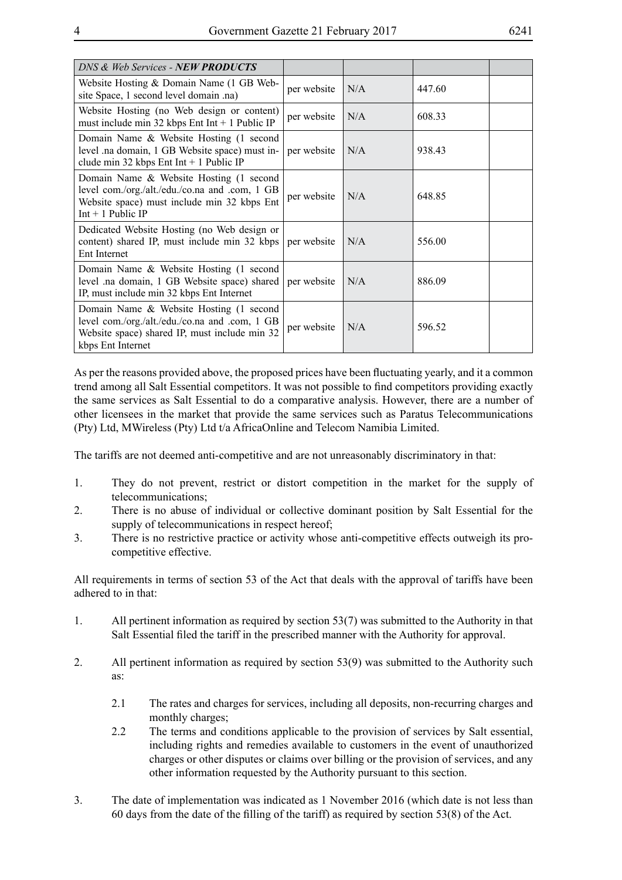| DNS & Web Services - <b>NEW PRODUCTS</b>                                                                                                                        |             |     |        |  |
|-----------------------------------------------------------------------------------------------------------------------------------------------------------------|-------------|-----|--------|--|
| Website Hosting & Domain Name (1 GB Web-<br>site Space, 1 second level domain .na)                                                                              | per website | N/A | 447.60 |  |
| Website Hosting (no Web design or content)<br>must include min 32 kbps Ent Int $+$ 1 Public IP                                                                  | per website | N/A | 608.33 |  |
| Domain Name & Website Hosting (1 second<br>level .na domain, 1 GB Website space) must in-<br>clude min 32 kbps Ent Int + 1 Public IP                            | per website | N/A | 938.43 |  |
| Domain Name & Website Hosting (1 second<br>level com./org./alt./edu./co.na and .com, 1 GB<br>Website space) must include min 32 kbps Ent<br>$Int + 1$ Public IP | per website | N/A | 648.85 |  |
| Dedicated Website Hosting (no Web design or<br>content) shared IP, must include min 32 kbps<br>Ent Internet                                                     | per website | N/A | 556.00 |  |
| Domain Name & Website Hosting (1 second<br>level .na domain, 1 GB Website space) shared<br>IP, must include min 32 kbps Ent Internet                            | per website | N/A | 886.09 |  |
| Domain Name & Website Hosting (1 second<br>level com./org./alt./edu./co.na and .com, 1 GB<br>Website space) shared IP, must include min 32<br>kbps Ent Internet | per website | N/A | 596.52 |  |

As per the reasons provided above, the proposed prices have been fluctuating yearly, and it a common trend among all Salt Essential competitors. It was not possible to find competitors providing exactly the same services as Salt Essential to do a comparative analysis. However, there are a number of other licensees in the market that provide the same services such as Paratus Telecommunications (Pty) Ltd, MWireless (Pty) Ltd t/a AfricaOnline and Telecom Namibia Limited.

The tariffs are not deemed anti-competitive and are not unreasonably discriminatory in that:

- 1. They do not prevent, restrict or distort competition in the market for the supply of telecommunications;
- 2. There is no abuse of individual or collective dominant position by Salt Essential for the supply of telecommunications in respect hereof;
- 3. There is no restrictive practice or activity whose anti-competitive effects outweigh its procompetitive effective.

All requirements in terms of section 53 of the Act that deals with the approval of tariffs have been adhered to in that:

- 1. All pertinent information as required by section 53(7) was submitted to the Authority in that Salt Essential filed the tariff in the prescribed manner with the Authority for approval.
- 2. All pertinent information as required by section 53(9) was submitted to the Authority such as:
	- 2.1 The rates and charges for services, including all deposits, non-recurring charges and monthly charges;
	- 2.2 The terms and conditions applicable to the provision of services by Salt essential, including rights and remedies available to customers in the event of unauthorized charges or other disputes or claims over billing or the provision of services, and any other information requested by the Authority pursuant to this section.
- 3. The date of implementation was indicated as 1 November 2016 (which date is not less than 60 days from the date of the filling of the tariff) as required by section 53(8) of the Act.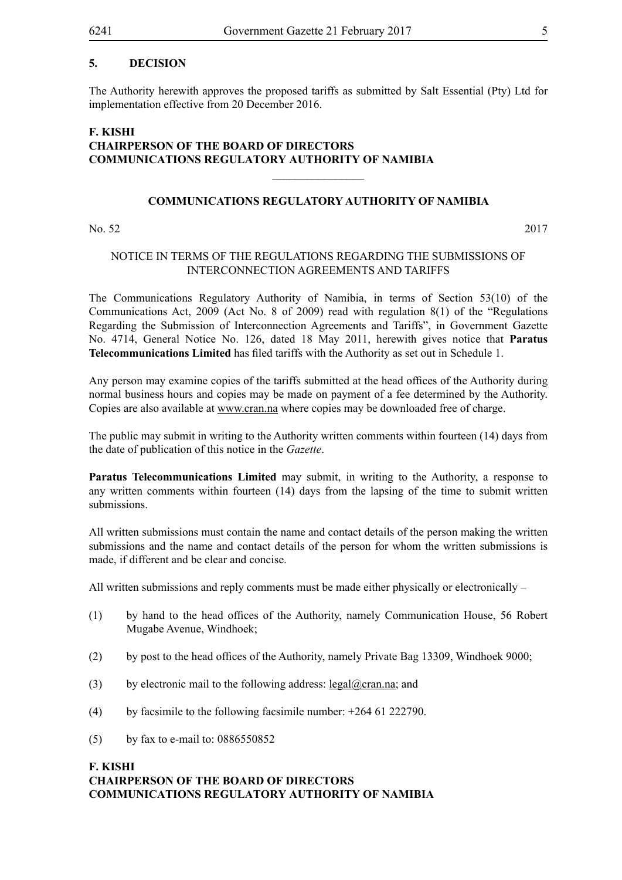### **5. DECISION**

The Authority herewith approves the proposed tariffs as submitted by Salt Essential (Pty) Ltd for implementation effective from 20 December 2016.

# **F. KISHI CHAIRPERSON OF THE BOARD OF DIRECTORS COMMUNICATIONS REGULATORY AUTHORITY OF NAMIBIA**

#### **COMMUNICATIONS REGULATORY AUTHORITY OF NAMIBIA**

 $\frac{1}{2}$ 

No. 52 2017

#### NOTICE IN TERMS OF THE REGULATIONS REGARDING THE SUBMISSIONS OF INTERCONNECTION AGREEMENTS AND TARIFFS

The Communications Regulatory Authority of Namibia, in terms of Section 53(10) of the Communications Act, 2009 (Act No. 8 of 2009) read with regulation 8(1) of the "Regulations Regarding the Submission of Interconnection Agreements and Tariffs", in Government Gazette No. 4714, General Notice No. 126, dated 18 May 2011, herewith gives notice that **Paratus Telecommunications Limited** has filed tariffs with the Authority as set out in Schedule 1.

Any person may examine copies of the tariffs submitted at the head offices of the Authority during normal business hours and copies may be made on payment of a fee determined by the Authority. Copies are also available at www.cran.na where copies may be downloaded free of charge.

The public may submit in writing to the Authority written comments within fourteen (14) days from the date of publication of this notice in the *Gazette*.

**Paratus Telecommunications Limited** may submit, in writing to the Authority, a response to any written comments within fourteen (14) days from the lapsing of the time to submit written submissions.

All written submissions must contain the name and contact details of the person making the written submissions and the name and contact details of the person for whom the written submissions is made, if different and be clear and concise.

All written submissions and reply comments must be made either physically or electronically –

- (1) by hand to the head offices of the Authority, namely Communication House, 56 Robert Mugabe Avenue, Windhoek;
- (2) by post to the head offices of the Authority, namely Private Bag 13309, Windhoek 9000;
- (3) by electronic mail to the following address: legal@cran.na; and
- (4) by facsimile to the following facsimile number: +264 61 222790.
- (5) by fax to e-mail to: 0886550852

#### **F. KISHI CHAIRPERSON OF THE BOARD OF DIRECTORS COMMUNICATIONS REGULATORY AUTHORITY OF NAMIBIA**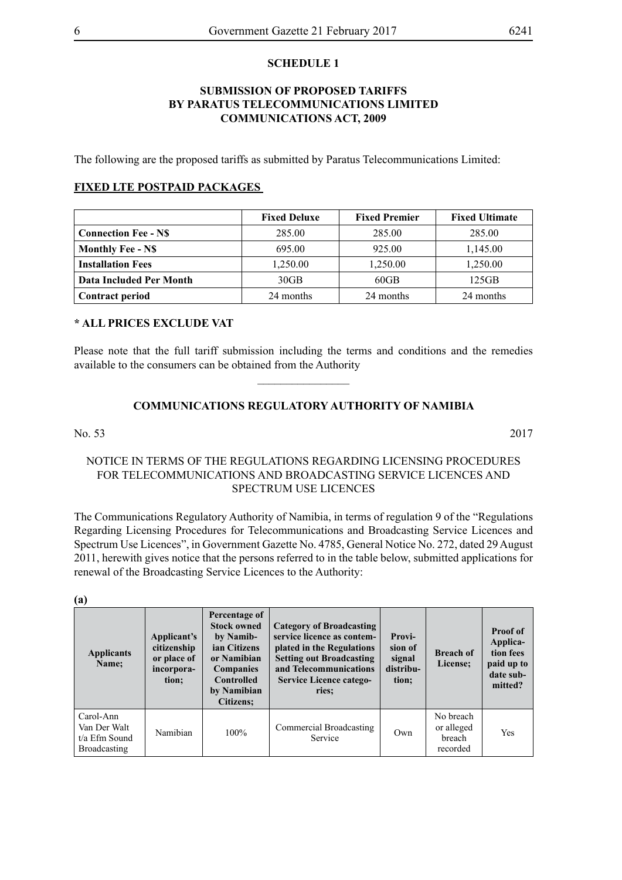#### **SCHEDULE 1**

#### **SUBMISSION OF PROPOSED TARIFFS BY PARATUS TELECOMMUNICATIONS LIMITED COMMUNICATIONS ACT, 2009**

The following are the proposed tariffs as submitted by Paratus Telecommunications Limited:

#### **FIXED LTE POSTPAID PACKAGES**

|                             | <b>Fixed Deluxe</b> | <b>Fixed Premier</b> | <b>Fixed Ultimate</b> |
|-----------------------------|---------------------|----------------------|-----------------------|
| <b>Connection Fee - N\$</b> | 285.00              | 285.00               | 285.00                |
| <b>Monthly Fee - N\$</b>    | 695.00              | 925.00               | 1,145.00              |
| <b>Installation Fees</b>    | 1,250.00            | 1,250.00             | 1,250.00              |
| Data Included Per Month     | 30 <sub>GB</sub>    | $60$ GB              | 125GB                 |
| <b>Contract period</b>      | 24 months           | 24 months            | 24 months             |

#### **\* ALL PRICES EXCLUDE VAT**

Please note that the full tariff submission including the terms and conditions and the remedies available to the consumers can be obtained from the Authority

 $\overline{\phantom{a}}$  , where  $\overline{\phantom{a}}$ 

# **COMMUNICATIONS REGULATORY AUTHORITY OF NAMIBIA**

No. 53 2017

#### NOTICE IN TERMS OF THE REGULATIONS REGARDING LICENSING PROCEDURES FOR TELECOMMUNICATIONS AND BROADCASTING SERVICE LICENCES AND SPECTRUM USE LICENCES

The Communications Regulatory Authority of Namibia, in terms of regulation 9 of the "Regulations Regarding Licensing Procedures for Telecommunications and Broadcasting Service Licences and Spectrum Use Licences", in Government Gazette No. 4785, General Notice No. 272, dated 29 August 2011, herewith gives notice that the persons referred to in the table below, submitted applications for renewal of the Broadcasting Service Licences to the Authority:

| $\left( a\right)$                                          |                                                                  |                                                                                                                                                             |                                                                                                                                                                                             |                                                   |                                               |                                                                         |  |
|------------------------------------------------------------|------------------------------------------------------------------|-------------------------------------------------------------------------------------------------------------------------------------------------------------|---------------------------------------------------------------------------------------------------------------------------------------------------------------------------------------------|---------------------------------------------------|-----------------------------------------------|-------------------------------------------------------------------------|--|
| <b>Applicants</b><br>Name:                                 | Applicant's<br>citizenship<br>or place of<br>incorpora-<br>tion; | Percentage of<br><b>Stock owned</b><br>by Namib-<br>ian Citizens<br>or Namibian<br><b>Companies</b><br><b>Controlled</b><br>by Namibian<br><b>Citizens:</b> | Category of Broadcasting<br>service licence as contem-<br>plated in the Regulations<br><b>Setting out Broadcasting</b><br>and Telecommunications<br><b>Service Licence catego-</b><br>ries: | Provi-<br>sion of<br>signal<br>distribu-<br>tion; | <b>Breach of</b><br>License;                  | Proof of<br>Applica-<br>tion fees<br>paid up to<br>date sub-<br>mitted? |  |
| Carol-Ann<br>Van Der Walt<br>t/a Efm Sound<br>Broadcasting | Namibian                                                         | 100%                                                                                                                                                        | Commercial Broadcasting<br>Service                                                                                                                                                          | Own                                               | No breach<br>or alleged<br>breach<br>recorded | Yes                                                                     |  |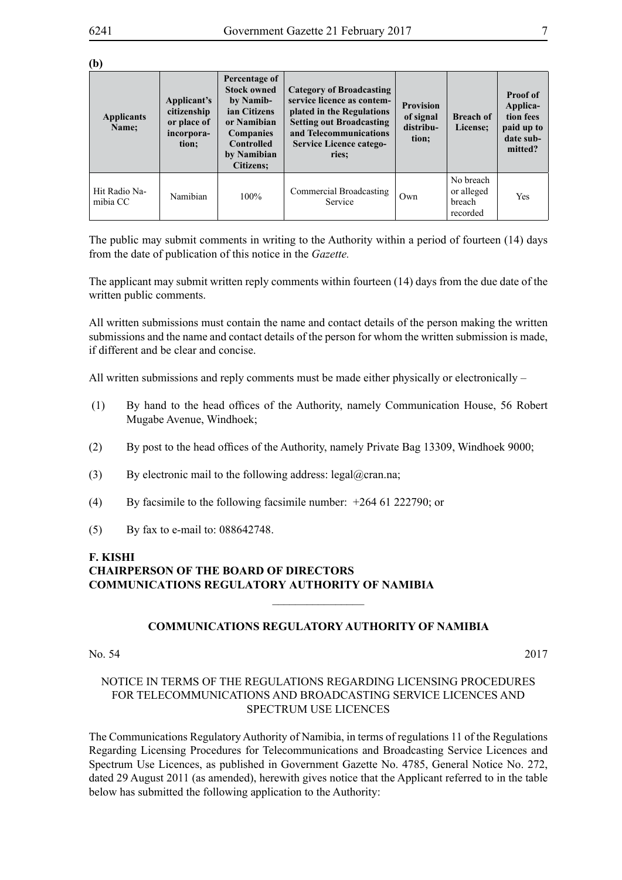**(b)**

| <b>Applicants</b><br>Name: | Percentage of<br><b>Stock owned</b><br><b>Category of Broadcasting</b><br>service licence as contem-<br>by Namib-<br>Applicant's<br>citizenship<br>ian Citizens<br>plated in the Regulations<br><b>Setting out Broadcasting</b><br>or place of<br>or Namibian<br>and Telecommunications<br><b>Companies</b><br>incorpora-<br><b>Controlled</b><br><b>Service Licence catego-</b><br>tion;<br>by Namibian<br>ries:<br><b>Citizens:</b> |      | <b>Provision</b><br>of signal<br>distribu-<br>tion; | <b>Breach of</b><br>License; | <b>Proof of</b><br>Applica-<br>tion fees<br>paid up to<br>date sub-<br>mitted? |     |
|----------------------------|---------------------------------------------------------------------------------------------------------------------------------------------------------------------------------------------------------------------------------------------------------------------------------------------------------------------------------------------------------------------------------------------------------------------------------------|------|-----------------------------------------------------|------------------------------|--------------------------------------------------------------------------------|-----|
| Hit Radio Na-<br>mibia CC  | Namibian                                                                                                                                                                                                                                                                                                                                                                                                                              | 100% | Commercial Broadcasting<br>Service                  | Own                          | No breach<br>or alleged<br>breach<br>recorded                                  | Yes |

The public may submit comments in writing to the Authority within a period of fourteen (14) days from the date of publication of this notice in the *Gazette.*

The applicant may submit written reply comments within fourteen (14) days from the due date of the written public comments.

All written submissions must contain the name and contact details of the person making the written submissions and the name and contact details of the person for whom the written submission is made, if different and be clear and concise.

All written submissions and reply comments must be made either physically or electronically –

- (1) By hand to the head offices of the Authority, namely Communication House, 56 Robert Mugabe Avenue, Windhoek;
- (2) By post to the head offices of the Authority, namely Private Bag 13309, Windhoek 9000;
- (3) By electronic mail to the following address: legal@cran.na;
- (4) By facsimile to the following facsimile number: +264 61 222790; or
- (5) By fax to e-mail to: 088642748.

#### **F. KISHI CHAIRPERSON OF THE BOARD OF DIRECTORS COMMUNICATIONS REGULATORY AUTHORITY OF NAMIBIA**

#### **COMMUNICATIONS REGULATORY AUTHORITY OF NAMIBIA**

 $\frac{1}{2}$ 

No. 54 2017

#### NOTICE IN TERMS OF THE REGULATIONS REGARDING LICENSING PROCEDURES FOR TELECOMMUNICATIONS AND BROADCASTING SERVICE LICENCES AND SPECTRUM USE LICENCES

The Communications Regulatory Authority of Namibia, in terms of regulations 11 of the Regulations Regarding Licensing Procedures for Telecommunications and Broadcasting Service Licences and Spectrum Use Licences, as published in Government Gazette No. 4785, General Notice No. 272, dated 29 August 2011 (as amended), herewith gives notice that the Applicant referred to in the table below has submitted the following application to the Authority: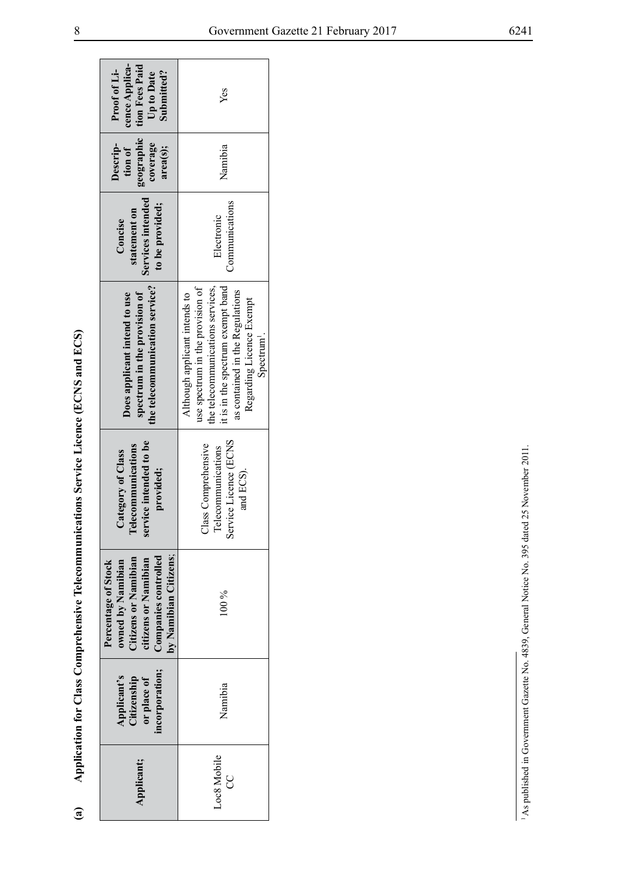| ֧֚֝<br>֧֚֚֚֚֚֝֝<br>֧֖֚֚֚֚֚֚֚֝֝֝֝ <u>֚</u>               |  |
|---------------------------------------------------------|--|
|                                                         |  |
| j                                                       |  |
|                                                         |  |
|                                                         |  |
|                                                         |  |
| I                                                       |  |
|                                                         |  |
|                                                         |  |
|                                                         |  |
|                                                         |  |
|                                                         |  |
| ֚֚֚֬<br>֖֖֖ׅׅ֖ׅ֖ׅ֖ׅ֧֚֚֚֚֚֚֚֚֚֚֚֚֚֚֚֚֚֚֚֚֚֚֚֚֚֚֚֚֚֚֚֚֡֝֝ |  |
|                                                         |  |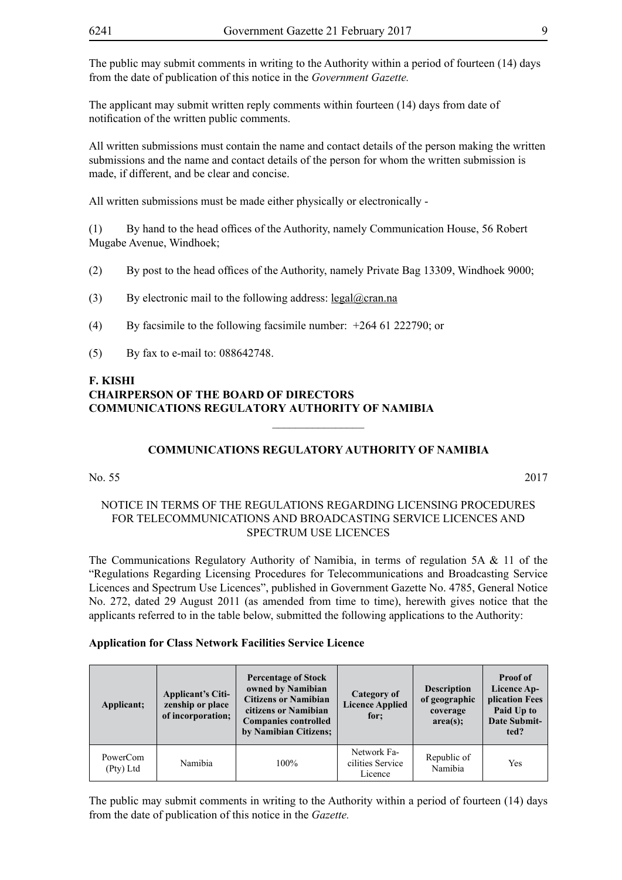The public may submit comments in writing to the Authority within a period of fourteen (14) days from the date of publication of this notice in the *Government Gazette.* 

The applicant may submit written reply comments within fourteen (14) days from date of notification of the written public comments.

All written submissions must contain the name and contact details of the person making the written submissions and the name and contact details of the person for whom the written submission is made, if different, and be clear and concise.

All written submissions must be made either physically or electronically -

(1) By hand to the head offices of the Authority, namely Communication House, 56 Robert Mugabe Avenue, Windhoek;

- (2) By post to the head offices of the Authority, namely Private Bag 13309, Windhoek 9000;
- (3) By electronic mail to the following address:  $\text{legal@cran}$ .na
- (4) By facsimile to the following facsimile number: +264 61 222790; or
- (5) By fax to e-mail to: 088642748.

### **F. KISHI CHAIRPERSON OF THE BOARD OF DIRECTORS COMMUNICATIONS REGULATORY AUTHORITY OF NAMIBIA**

#### **COMMUNICATIONS REGULATORY AUTHORITY OF NAMIBIA**

 $\overline{\phantom{a}}$  , where  $\overline{\phantom{a}}$ 

#### No. 55 2017

#### NOTICE IN TERMS OF THE REGULATIONS REGARDING LICENSING PROCEDURES FOR TELECOMMUNICATIONS AND BROADCASTING SERVICE LICENCES AND SPECTRUM USE LICENCES

The Communications Regulatory Authority of Namibia, in terms of regulation 5A & 11 of the "Regulations Regarding Licensing Procedures for Telecommunications and Broadcasting Service Licences and Spectrum Use Licences", published in Government Gazette No. 4785, General Notice No. 272, dated 29 August 2011 (as amended from time to time), herewith gives notice that the applicants referred to in the table below, submitted the following applications to the Authority:

#### **Application for Class Network Facilities Service Licence**

| Applicant;            | <b>Percentage of Stock</b><br>owned by Namibian<br><b>Applicant's Citi-</b><br><b>Citizens or Namibian</b><br>zenship or place<br>citizens or Namibian<br>of incorporation;<br><b>Companies controlled</b><br>by Namibian Citizens; |      | Category of<br><b>Licence Applied</b><br>for: | <b>Description</b><br>of geographic<br>coverage<br>area(s); | <b>Proof of</b><br>Licence Ap-<br>plication Fees<br>Paid Up to<br><b>Date Submit-</b><br>ted? |
|-----------------------|-------------------------------------------------------------------------------------------------------------------------------------------------------------------------------------------------------------------------------------|------|-----------------------------------------------|-------------------------------------------------------------|-----------------------------------------------------------------------------------------------|
| PowerCom<br>(Pty) Ltd | Namibia                                                                                                                                                                                                                             | 100% | Network Fa-<br>cilities Service<br>Licence    | Republic of<br>Namibia                                      | Yes                                                                                           |

The public may submit comments in writing to the Authority within a period of fourteen (14) days from the date of publication of this notice in the *Gazette.*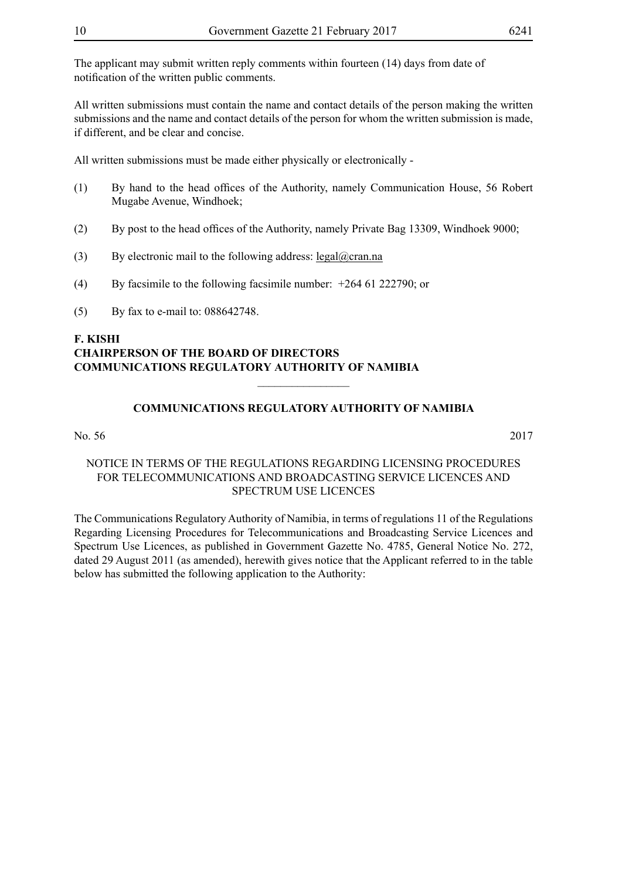The applicant may submit written reply comments within fourteen (14) days from date of notification of the written public comments.

All written submissions must contain the name and contact details of the person making the written submissions and the name and contact details of the person for whom the written submission is made, if different, and be clear and concise.

All written submissions must be made either physically or electronically -

- (1) By hand to the head offices of the Authority, namely Communication House, 56 Robert Mugabe Avenue, Windhoek;
- (2) By post to the head offices of the Authority, namely Private Bag 13309, Windhoek 9000;
- (3) By electronic mail to the following address:  $\text{legal@cran.na}$
- (4) By facsimile to the following facsimile number: +264 61 222790; or
- (5) By fax to e-mail to: 088642748.

# **F. KISHI CHAIRPERSON OF THE BOARD OF DIRECTORS COMMUNICATIONS REGULATORY AUTHORITY OF NAMIBIA**

# **COMMUNICATIONS REGULATORY AUTHORITY OF NAMIBIA**

 $\frac{1}{2}$ 

No. 56 2017

#### NOTICE IN TERMS OF THE REGULATIONS REGARDING LICENSING PROCEDURES FOR TELECOMMUNICATIONS AND BROADCASTING SERVICE LICENCES AND SPECTRUM USE LICENCES

The Communications Regulatory Authority of Namibia, in terms of regulations 11 of the Regulations Regarding Licensing Procedures for Telecommunications and Broadcasting Service Licences and Spectrum Use Licences, as published in Government Gazette No. 4785, General Notice No. 272, dated 29 August 2011 (as amended), herewith gives notice that the Applicant referred to in the table below has submitted the following application to the Authority: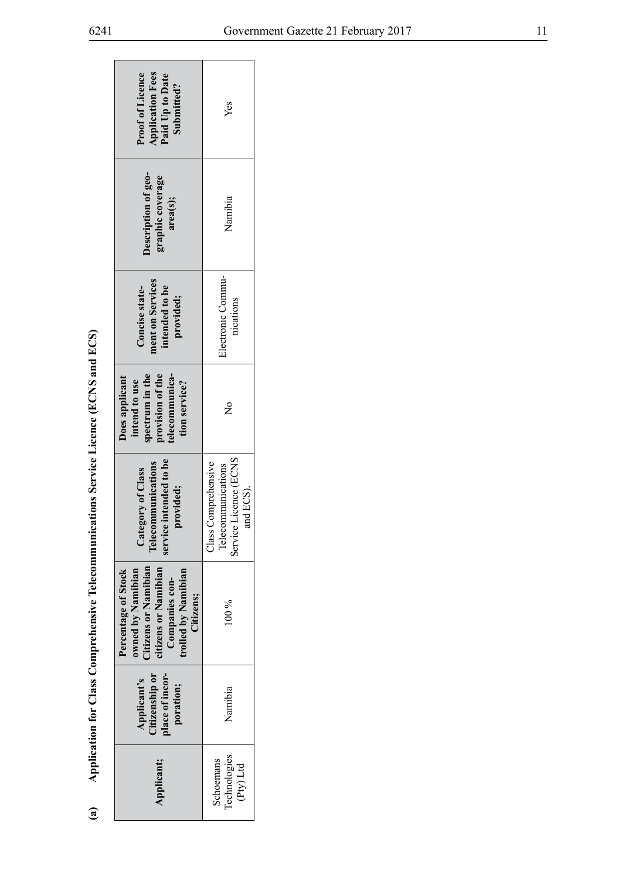| י |
|---|
| l |
|   |
|   |

|                                                                                       | <b>Proof of Licence</b><br><b>Application Fees</b><br>Paid Up to Date<br>Submitted?                                                            | Yes                                                                             |
|---------------------------------------------------------------------------------------|------------------------------------------------------------------------------------------------------------------------------------------------|---------------------------------------------------------------------------------|
|                                                                                       | Description of geo-<br>graphic coverage<br>area(s);                                                                                            | Namibia                                                                         |
|                                                                                       | ment on Services<br>intended to be<br>Concise state-<br>provided;                                                                              | Electronic Commu-<br>nications                                                  |
|                                                                                       | telecommunica-<br>spectrum in the<br>provision of the<br>Does applicant<br>intend to use<br>tion service?                                      | $\tilde{\mathsf{z}}$                                                            |
| Application for Class Comprehensive Telecommunications Service Licence (ECNS and ECS) | service intended to be<br><b>Telecommunications</b><br>Category of Class<br>provided;                                                          | Service Licence (ECNS<br>Class Comprehensive<br>Telecommunications<br>and ECS). |
|                                                                                       | Citizens or Namibian<br>citizens or Namibian<br>trolled by Namibian<br>Percentage of Stock<br>owned by Namibian<br>Companies con-<br>Citizens; | $00\%$                                                                          |
|                                                                                       | Citizenship or<br>place of incor-<br>Applicant's<br>poration;                                                                                  | Namibia                                                                         |
| $\mathbf{a}$                                                                          | Applicant;                                                                                                                                     | Technologies<br>Schoemans<br>(Pty) Ltd                                          |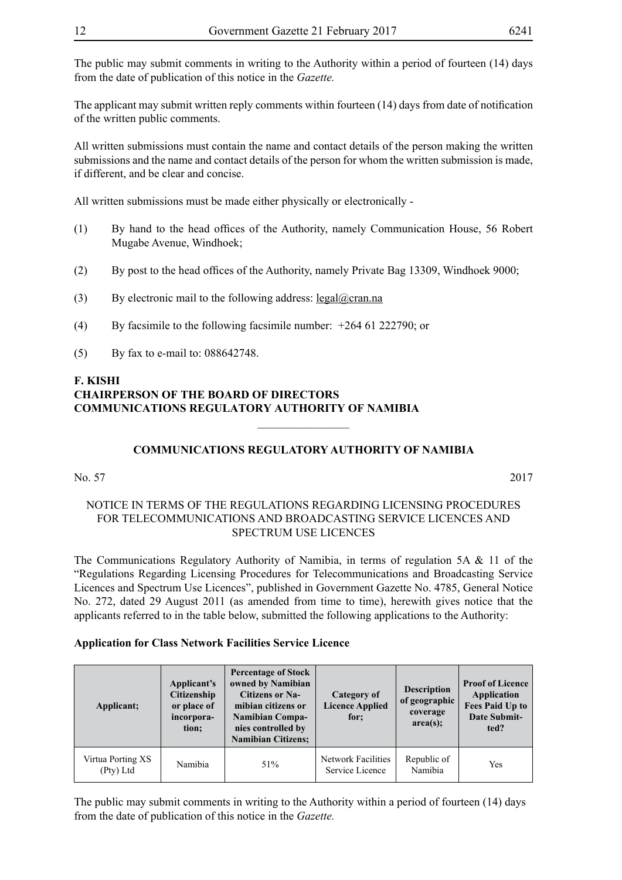The applicant may submit written reply comments within fourteen (14) days from date of notification of the written public comments.

All written submissions must contain the name and contact details of the person making the written submissions and the name and contact details of the person for whom the written submission is made, if different, and be clear and concise.

All written submissions must be made either physically or electronically -

- (1) By hand to the head offices of the Authority, namely Communication House, 56 Robert Mugabe Avenue, Windhoek;
- (2) By post to the head offices of the Authority, namely Private Bag 13309, Windhoek 9000;
- (3) By electronic mail to the following address:  $\text{legal@cran.na}$
- (4) By facsimile to the following facsimile number: +264 61 222790; or
- (5) By fax to e-mail to: 088642748.

# **F. KISHI CHAIRPERSON OF THE BOARD OF DIRECTORS COMMUNICATIONS REGULATORY AUTHORITY OF NAMIBIA**

# **COMMUNICATIONS REGULATORY AUTHORITY OF NAMIBIA**

 $\overline{\phantom{a}}$  , where  $\overline{\phantom{a}}$ 

#### No. 57 2017

#### NOTICE IN TERMS OF THE REGULATIONS REGARDING LICENSING PROCEDURES FOR TELECOMMUNICATIONS AND BROADCASTING SERVICE LICENCES AND SPECTRUM USE LICENCES

The Communications Regulatory Authority of Namibia, in terms of regulation 5A & 11 of the "Regulations Regarding Licensing Procedures for Telecommunications and Broadcasting Service Licences and Spectrum Use Licences", published in Government Gazette No. 4785, General Notice No. 272, dated 29 August 2011 (as amended from time to time), herewith gives notice that the applicants referred to in the table below, submitted the following applications to the Authority:

#### **Application for Class Network Facilities Service Licence**

| Applicant;                     | Applicant's<br><b>Citizenship</b><br>or place of<br>incorpora-<br>tion; | <b>Percentage of Stock</b><br>owned by Namibian<br><b>Citizens or Na-</b><br>mibian citizens or<br><b>Namibian Compa-</b><br>nies controlled by<br><b>Namibian Citizens;</b> | Category of<br><b>Licence Applied</b><br>for: | <b>Description</b><br>of geographic<br>coverage<br>area(s); | <b>Proof of Licence</b><br>Application<br><b>Fees Paid Up to</b><br><b>Date Submit-</b><br>ted? |
|--------------------------------|-------------------------------------------------------------------------|------------------------------------------------------------------------------------------------------------------------------------------------------------------------------|-----------------------------------------------|-------------------------------------------------------------|-------------------------------------------------------------------------------------------------|
| Virtua Porting XS<br>(Pty) Ltd | Namibia                                                                 | 51%                                                                                                                                                                          | Network Facilities<br>Service Licence         | Republic of<br>Namibia                                      | Yes                                                                                             |

The public may submit comments in writing to the Authority within a period of fourteen (14) days from the date of publication of this notice in the *Gazette.*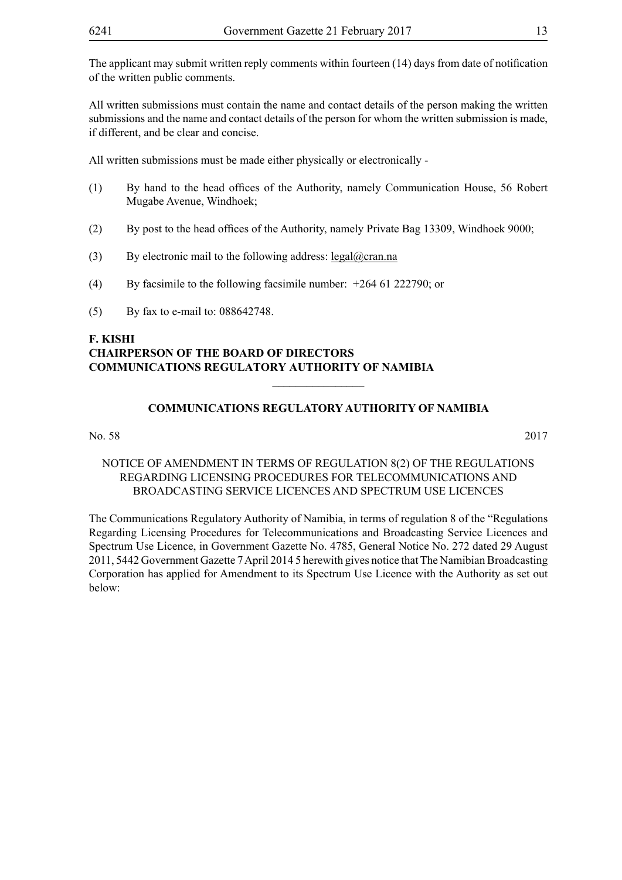All written submissions must contain the name and contact details of the person making the written submissions and the name and contact details of the person for whom the written submission is made, if different, and be clear and concise.

All written submissions must be made either physically or electronically -

- (1) By hand to the head offices of the Authority, namely Communication House, 56 Robert Mugabe Avenue, Windhoek;
- (2) By post to the head offices of the Authority, namely Private Bag 13309, Windhoek 9000;
- (3) By electronic mail to the following address:  $\text{legal@cran.na}$
- (4) By facsimile to the following facsimile number: +264 61 222790; or
- (5) By fax to e-mail to: 088642748.

# **F. KISHI CHAIRPERSON OF THE BOARD OF DIRECTORS COMMUNICATIONS REGULATORY AUTHORITY OF NAMIBIA**

#### **COMMUNICATIONS REGULATORY AUTHORITY OF NAMIBIA**

 $\frac{1}{2}$ 

No. 58 2017

NOTICE OF AMENDMENT IN TERMS OF REGULATION 8(2) OF THE REGULATIONS REGARDING LICENSING PROCEDURES FOR TELECOMMUNICATIONS AND BROADCASTING SERVICE LICENCES AND SPECTRUM USE LICENCES

The Communications Regulatory Authority of Namibia, in terms of regulation 8 of the "Regulations Regarding Licensing Procedures for Telecommunications and Broadcasting Service Licences and Spectrum Use Licence, in Government Gazette No. 4785, General Notice No. 272 dated 29 August 2011, 5442 Government Gazette 7 April 2014 5 herewith gives notice that The Namibian Broadcasting Corporation has applied for Amendment to its Spectrum Use Licence with the Authority as set out below: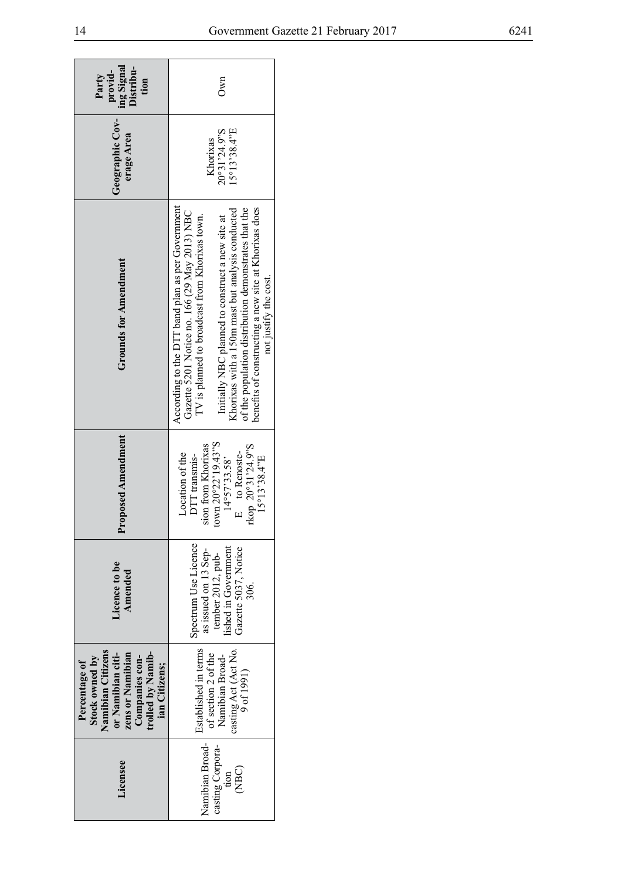| ing Signal<br>Distribu-<br>provid-<br>Party<br>tion                                                                                                   | <b>Own</b>                                                                                                                                                                                                                                                                                                                                                                                          |  |  |
|-------------------------------------------------------------------------------------------------------------------------------------------------------|-----------------------------------------------------------------------------------------------------------------------------------------------------------------------------------------------------------------------------------------------------------------------------------------------------------------------------------------------------------------------------------------------------|--|--|
| Geographic Cov-<br>erage Area                                                                                                                         | 20°31'24.9"S<br>$15^{\circ}13'38.4''E$<br>Khorixas                                                                                                                                                                                                                                                                                                                                                  |  |  |
| <b>Grounds for Amendment</b>                                                                                                                          | According to the DTT band plan as per Government<br>benefits of constructing a new site at Khorixas does<br>of the population distribution demonstrates that the<br>Khorixas with a 150m mast but analysis conducted<br>Gazette 5201 Notice no. 166 (29 May 2013) NBC<br>Initially NBC planned to construct a new site at<br>TV is planned to broadcast from Khorixas town.<br>not justify the cost |  |  |
| roposed Amendment                                                                                                                                     | own 20°22'19.43"S<br>sion from Khorixas<br>rkop 20°31'24.9"S<br>E to Renoste-<br>Location of the<br>DTT transmis-<br>15°13'38.4"E<br>$14^{\circ}57'33.58'$                                                                                                                                                                                                                                          |  |  |
| dicence to be<br>Amended                                                                                                                              | Spectrum Use Licence<br>lished in Government<br>Gazette 5037, Notice<br>as issued on 13 Sep-<br>tember 2012, pub-<br>306.                                                                                                                                                                                                                                                                           |  |  |
| Namibian Citizens<br>trolled by Namib-<br>zens or Namibian<br>or Namibian citi-<br>Stock owned by<br>Companies con-<br>Percentage of<br>ian Citizens; | Established in terms<br>casting Act (Act No.<br>of section 2 of the<br>Namibian Broad-<br>9 of 1991)                                                                                                                                                                                                                                                                                                |  |  |
| <i>icensee</i>                                                                                                                                        | Namibian Broad-<br>casting Corpora-<br>(NBC)<br>tion                                                                                                                                                                                                                                                                                                                                                |  |  |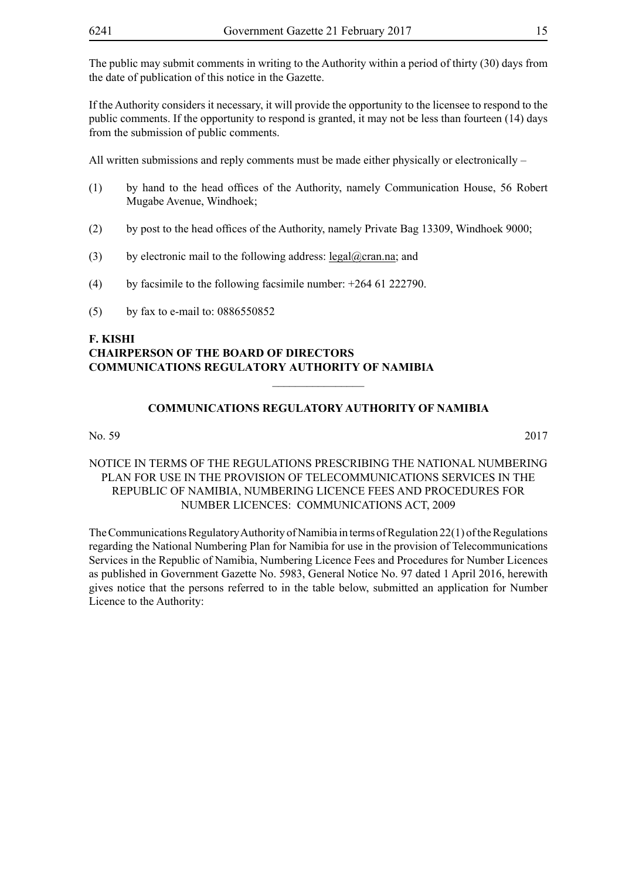The public may submit comments in writing to the Authority within a period of thirty (30) days from the date of publication of this notice in the Gazette.

If the Authority considers it necessary, it will provide the opportunity to the licensee to respond to the public comments. If the opportunity to respond is granted, it may not be less than fourteen (14) days from the submission of public comments.

All written submissions and reply comments must be made either physically or electronically –

- (1) by hand to the head offices of the Authority, namely Communication House, 56 Robert Mugabe Avenue, Windhoek;
- (2) by post to the head offices of the Authority, namely Private Bag 13309, Windhoek 9000;
- (3) by electronic mail to the following address:  $\text{legal@cran.na}$ ; and
- (4) by facsimile to the following facsimile number:  $+264$  61 222790.
- (5) by fax to e-mail to: 0886550852

#### **F. KISHI CHAIRPERSON OF THE BOARD OF DIRECTORS COMMUNICATIONS REGULATORY AUTHORITY OF NAMIBIA**

#### **COMMUNICATIONS REGULATORY AUTHORITY OF NAMIBIA**

 $\frac{1}{2}$ 

No. 59 2017

NOTICE IN TERMS OF THE REGULATIONS PRESCRIBING THE NATIONAL NUMBERING PLAN FOR USE IN THE PROVISION OF TELECOMMUNICATIONS SERVICES IN THE REPUBLIC OF NAMIBIA, NUMBERING LICENCE FEES AND PROCEDURES FOR NUMBER LICENCES: COMMUNICATIONS ACT, 2009

The Communications Regulatory Authority of Namibia in terms of Regulation 22(1) of the Regulations regarding the National Numbering Plan for Namibia for use in the provision of Telecommunications Services in the Republic of Namibia, Numbering Licence Fees and Procedures for Number Licences as published in Government Gazette No. 5983, General Notice No. 97 dated 1 April 2016, herewith gives notice that the persons referred to in the table below, submitted an application for Number Licence to the Authority: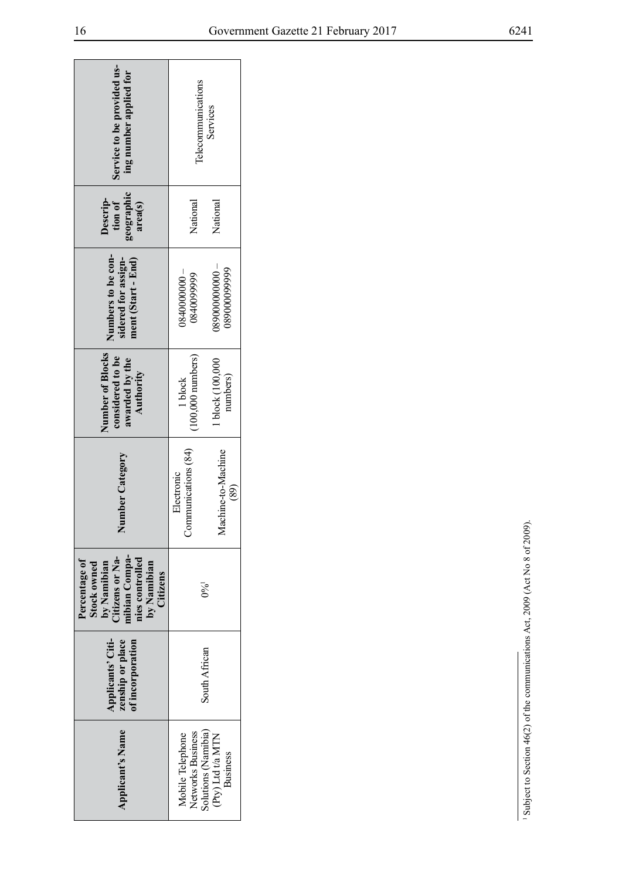| Service to be provided us-<br>ing number applied for                                                                                 | Telecommunications<br>Services           |                                                      |
|--------------------------------------------------------------------------------------------------------------------------------------|------------------------------------------|------------------------------------------------------|
| geographic<br>Descrip-<br>tion of<br>area(s)                                                                                         | National                                 | National                                             |
| Numbers to be con-<br>sidered for assign-<br>ment (Start - End)                                                                      | $-00000000080$<br>084009999              | $-00000000080$<br>08900009999                        |
| Number of Blocks<br>considered to be<br>awarded by the<br>Authority                                                                  | 100,000 numbers)<br>1 block              | 1 block (100,000<br>numbers)                         |
| Number Category                                                                                                                      | Communications (84)<br><b>Electronic</b> | Machine-to-Machine<br>(89)                           |
| nibian Compa-<br>by Namibian<br>Citizens or Na-<br>nies controlled<br>Percentage of<br>by Namibian<br><b>Stock owned</b><br>Citizens | $0\%$ <sup>1</sup>                       |                                                      |
| zenship or place<br>Applicants' Citi-<br>of incorporation                                                                            | South African                            |                                                      |
| <b>Applicant's Name</b>                                                                                                              | Networks Business<br>Mobile Telephone    | Solutions (Namibia)<br>(Pty) Ltd t/a MTN<br>Business |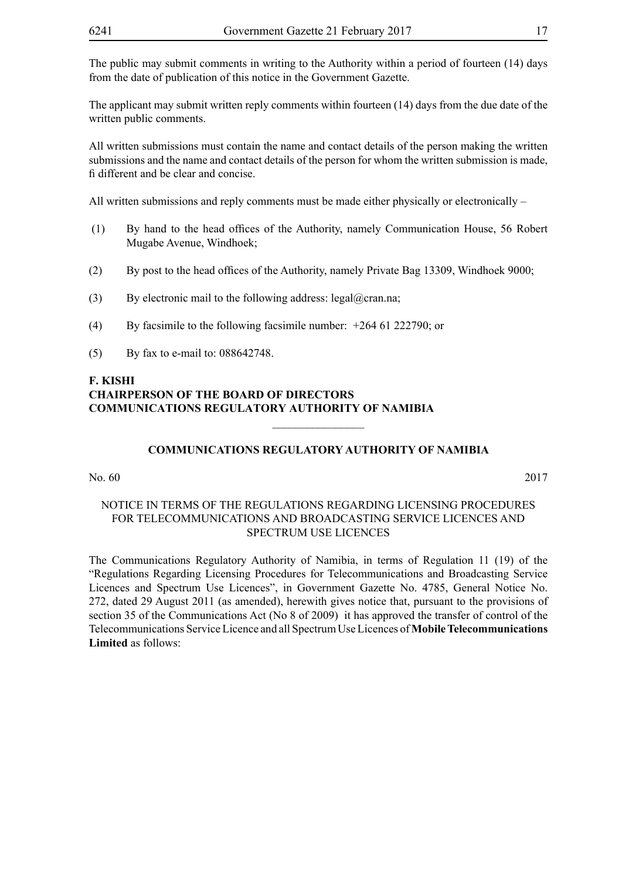The public may submit comments in writing to the Authority within a period of fourteen (14) days from the date of publication of this notice in the Government Gazette.

The applicant may submit written reply comments within fourteen (14) days from the due date of the written public comments.

All written submissions must contain the name and contact details of the person making the written submissions and the name and contact details of the person for whom the written submission is made, fi different and be clear and concise.

All written submissions and reply comments must be made either physically or electronically –

- (1) By hand to the head offices of the Authority, namely Communication House, 56 Robert Mugabe Avenue, Windhoek;
- (2) By post to the head offices of the Authority, namely Private Bag 13309, Windhoek 9000;
- (3) By electronic mail to the following address: legal@cran.na;
- (4) By facsimile to the following facsimile number: +264 61 222790; or
- (5) By fax to e-mail to: 088642748.

#### **F. KISHI CHAIRPERSON OF THE BOARD OF DIRECTORS COMMUNICATIONS REGULATORY AUTHORITY OF NAMIBIA**

#### **COMMUNICATIONS REGULATORY AUTHORITY OF NAMIBIA**

 $\overline{\phantom{a}}$  , where  $\overline{\phantom{a}}$ 

No. 60 2017

#### NOTICE IN TERMS OF THE REGULATIONS REGARDING LICENSING PROCEDURES FOR TELECOMMUNICATIONS AND BROADCASTING SERVICE LICENCES AND SPECTRUM USE LICENCES

The Communications Regulatory Authority of Namibia, in terms of Regulation 11 (19) of the "Regulations Regarding Licensing Procedures for Telecommunications and Broadcasting Service Licences and Spectrum Use Licences", in Government Gazette No. 4785, General Notice No. 272, dated 29 August 2011 (as amended), herewith gives notice that, pursuant to the provisions of section 35 of the Communications Act (No 8 of 2009) it has approved the transfer of control of the Telecommunications Service Licence and all Spectrum Use Licences of **Mobile Telecommunications Limited** as follows: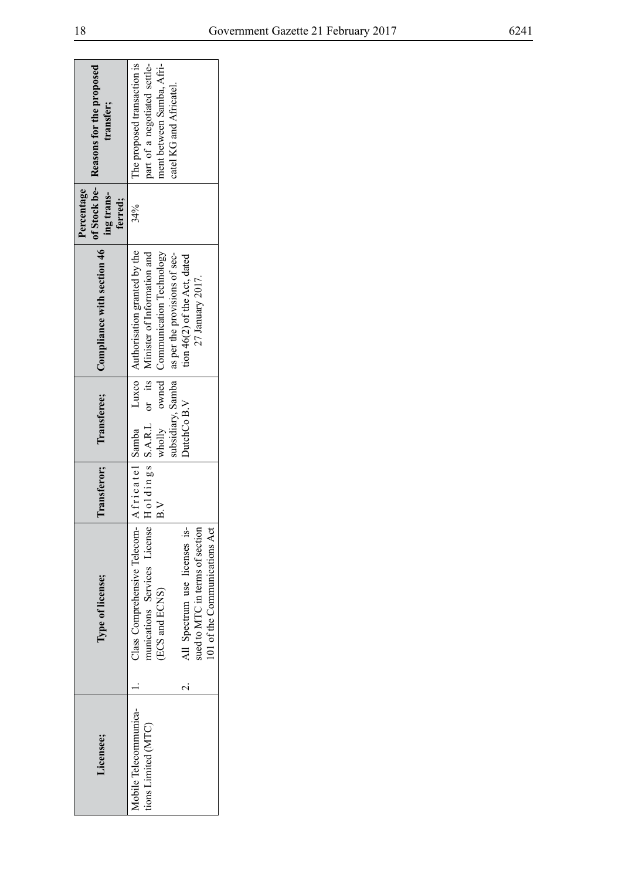| of Stock be- Reasons for the proposed<br>transfer; | The proposed transaction is<br>part of a negotiated settle-<br>ment between Samba, Afri-<br>catel KG and Africatel                                                                                                                                |
|----------------------------------------------------|---------------------------------------------------------------------------------------------------------------------------------------------------------------------------------------------------------------------------------------------------|
| Percentage<br>ing trans-<br>ferred;                | 34%                                                                                                                                                                                                                                               |
| Compliance with section 46                         | A fricatel Samba Luxco Authorisation granted by the<br>wholly owned Communication Technology<br>ubsidiary, Samba   as per the provisions of sec-<br>tion 46(2) of the Act, dated<br>27 January 2017.                                              |
| Transferee;                                        | DutchCo B.V                                                                                                                                                                                                                                       |
| Transferor;                                        | $_{\rm B}$ $_{\rm V}$                                                                                                                                                                                                                             |
| Type of license;                                   | munications Services License   $H_01$ dings   S.A.R.L or its   Minister of Information and<br>Class Comprehensive Telecom-<br>All Spectrum use licenses is-<br>sued to MTC in terms of section<br>101 of the Communications Act<br>(ECS and ECNS) |
|                                                    |                                                                                                                                                                                                                                                   |
| Licensee;                                          | Mobile Telecommunica-<br>tions Limited (MTC)                                                                                                                                                                                                      |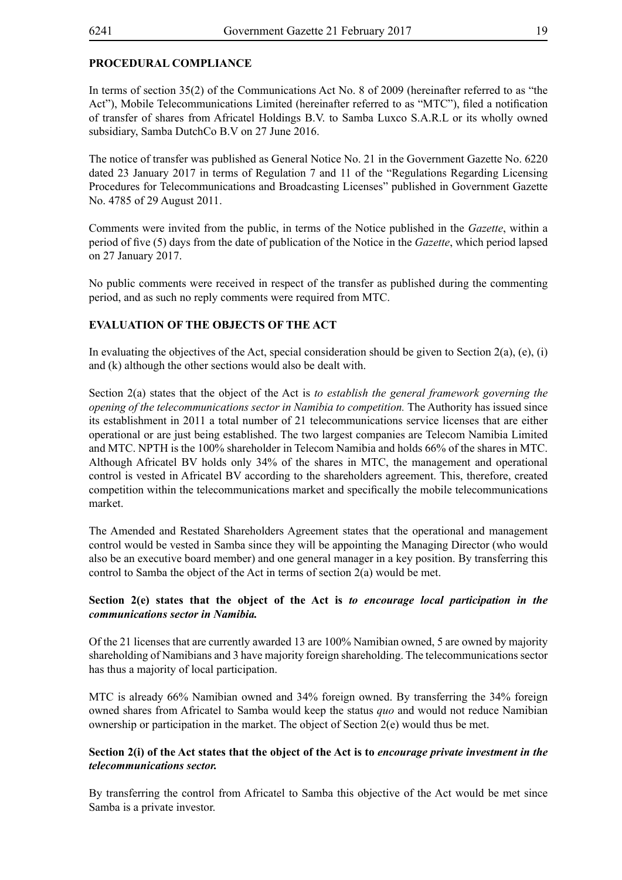# **PROCEDURAL COMPLIANCE**

In terms of section 35(2) of the Communications Act No. 8 of 2009 (hereinafter referred to as "the Act"), Mobile Telecommunications Limited (hereinafter referred to as "MTC"), filed a notification of transfer of shares from Africatel Holdings B.V. to Samba Luxco S.A.R.L or its wholly owned subsidiary, Samba DutchCo B.V on 27 June 2016.

The notice of transfer was published as General Notice No. 21 in the Government Gazette No. 6220 dated 23 January 2017 in terms of Regulation 7 and 11 of the "Regulations Regarding Licensing Procedures for Telecommunications and Broadcasting Licenses" published in Government Gazette No. 4785 of 29 August 2011.

Comments were invited from the public, in terms of the Notice published in the *Gazette*, within a period of five (5) days from the date of publication of the Notice in the *Gazette*, which period lapsed on 27 January 2017.

No public comments were received in respect of the transfer as published during the commenting period, and as such no reply comments were required from MTC.

#### **EVALUATION OF THE OBJECTS OF THE ACT**

In evaluating the objectives of the Act, special consideration should be given to Section 2(a), (e), (i) and (k) although the other sections would also be dealt with.

Section 2(a) states that the object of the Act is *to establish the general framework governing the opening of the telecommunications sector in Namibia to competition.* The Authority has issued since its establishment in 2011 a total number of 21 telecommunications service licenses that are either operational or are just being established. The two largest companies are Telecom Namibia Limited and MTC. NPTH is the 100% shareholder in Telecom Namibia and holds 66% of the shares in MTC. Although Africatel BV holds only 34% of the shares in MTC, the management and operational control is vested in Africatel BV according to the shareholders agreement. This, therefore, created competition within the telecommunications market and specifically the mobile telecommunications market.

The Amended and Restated Shareholders Agreement states that the operational and management control would be vested in Samba since they will be appointing the Managing Director (who would also be an executive board member) and one general manager in a key position. By transferring this control to Samba the object of the Act in terms of section 2(a) would be met.

#### **Section 2(e) states that the object of the Act is** *to encourage local participation in the communications sector in Namibia.*

Of the 21 licenses that are currently awarded 13 are 100% Namibian owned, 5 are owned by majority shareholding of Namibians and 3 have majority foreign shareholding. The telecommunications sector has thus a majority of local participation.

MTC is already 66% Namibian owned and 34% foreign owned. By transferring the 34% foreign owned shares from Africatel to Samba would keep the status *quo* and would not reduce Namibian ownership or participation in the market. The object of Section  $2(e)$  would thus be met.

#### **Section 2(i) of the Act states that the object of the Act is to** *encourage private investment in the telecommunications sector.*

By transferring the control from Africatel to Samba this objective of the Act would be met since Samba is a private investor.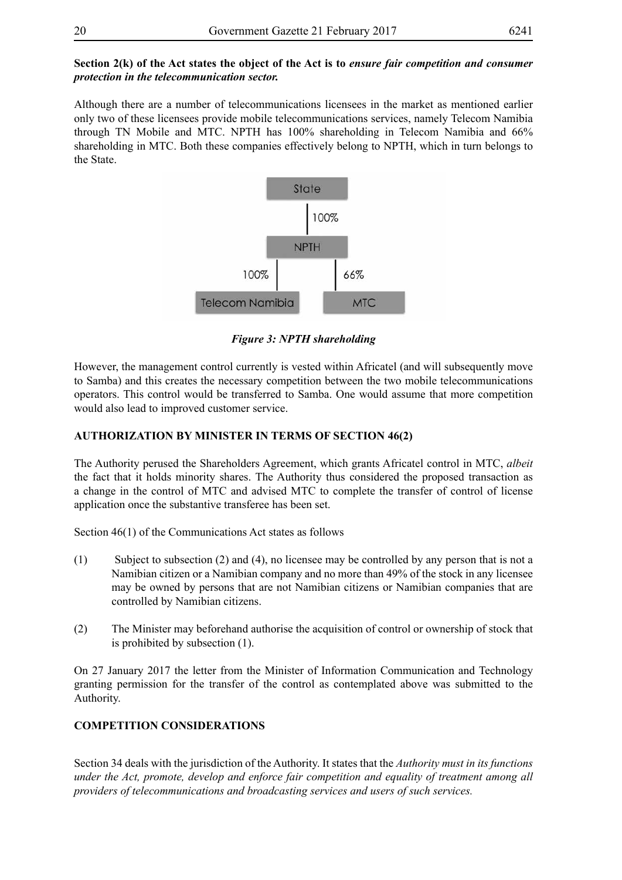#### **Section 2(k) of the Act states the object of the Act is to** *ensure fair competition and consumer protection in the telecommunication sector.*

Although there are a number of telecommunications licensees in the market as mentioned earlier only two of these licensees provide mobile telecommunications services, namely Telecom Namibia through TN Mobile and MTC. NPTH has 100% shareholding in Telecom Namibia and 66% shareholding in MTC. Both these companies effectively belong to NPTH, which in turn belongs to the State.



*Figure 3: NPTH shareholding*

However, the management control currently is vested within Africatel (and will subsequently move to Samba) and this creates the necessary competition between the two mobile telecommunications operators. This control would be transferred to Samba. One would assume that more competition would also lead to improved customer service.

# **AUTHORIZATION BY MINISTER IN TERMS OF SECTION 46(2)**

The Authority perused the Shareholders Agreement, which grants Africatel control in MTC, *albeit* the fact that it holds minority shares. The Authority thus considered the proposed transaction as a change in the control of MTC and advised MTC to complete the transfer of control of license application once the substantive transferee has been set.

Section 46(1) of the Communications Act states as follows

- (1) Subject to subsection (2) and (4), no licensee may be controlled by any person that is not a Namibian citizen or a Namibian company and no more than 49% of the stock in any licensee may be owned by persons that are not Namibian citizens or Namibian companies that are controlled by Namibian citizens.
- (2) The Minister may beforehand authorise the acquisition of control or ownership of stock that is prohibited by subsection (1).

On 27 January 2017 the letter from the Minister of Information Communication and Technology granting permission for the transfer of the control as contemplated above was submitted to the Authority.

# **COMPETITION CONSIDERATIONS**

Section 34 deals with the jurisdiction of the Authority. It states that the *Authority must in its functions under the Act, promote, develop and enforce fair competition and equality of treatment among all providers of telecommunications and broadcasting services and users of such services.*